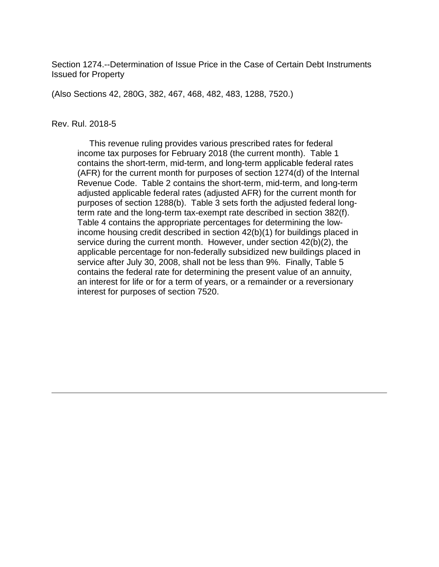Section 1274.--Determination of Issue Price in the Case of Certain Debt Instruments Issued for Property

(Also Sections 42, 280G, 382, 467, 468, 482, 483, 1288, 7520.)

#### Rev. Rul. 2018-5

 This revenue ruling provides various prescribed rates for federal income tax purposes for February 2018 (the current month). Table 1 contains the short-term, mid-term, and long-term applicable federal rates (AFR) for the current month for purposes of section 1274(d) of the Internal Revenue Code. Table 2 contains the short-term, mid-term, and long-term adjusted applicable federal rates (adjusted AFR) for the current month for purposes of section 1288(b). Table 3 sets forth the adjusted federal longterm rate and the long-term tax-exempt rate described in section 382(f). Table 4 contains the appropriate percentages for determining the lowincome housing credit described in section 42(b)(1) for buildings placed in service during the current month. However, under section 42(b)(2), the applicable percentage for non-federally subsidized new buildings placed in service after July 30, 2008, shall not be less than 9%. Finally, Table 5 contains the federal rate for determining the present value of an annuity, an interest for life or for a term of years, or a remainder or a reversionary interest for purposes of section 7520.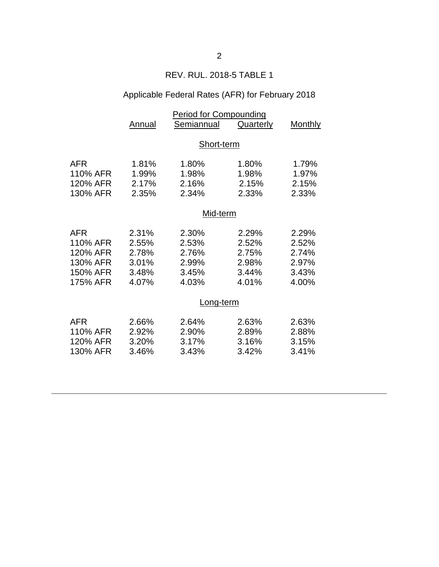# REV. RUL. 2018-5 TABLE 1

# Applicable Federal Rates (AFR) for February 2018

|            | <b>Period for Compounding</b> |            |           |                |  |
|------------|-------------------------------|------------|-----------|----------------|--|
|            | Annual                        | Semiannual | Quarterly | <b>Monthly</b> |  |
|            |                               |            |           |                |  |
|            | Short-term                    |            |           |                |  |
|            |                               |            |           |                |  |
| AFR        | 1.81%                         | 1.80%      | 1.80%     | 1.79%          |  |
| 110% AFR   | 1.99%                         | 1.98%      | 1.98%     | 1.97%          |  |
| 120% AFR   | 2.17%                         | 2.16%      | 2.15%     | 2.15%          |  |
| 130% AFR   | 2.35%                         | 2.34%      | 2.33%     | 2.33%          |  |
|            |                               |            |           |                |  |
|            | Mid-term                      |            |           |                |  |
| <b>AFR</b> | 2.31%                         | 2.30%      | 2.29%     | 2.29%          |  |
| 110% AFR   | 2.55%                         | 2.53%      | 2.52%     | 2.52%          |  |
| 120% AFR   | 2.78%                         | 2.76%      | 2.75%     | 2.74%          |  |
| 130% AFR   | 3.01%                         | 2.99%      | 2.98%     | 2.97%          |  |
| 150% AFR   | 3.48%                         | 3.45%      | 3.44%     | 3.43%          |  |
| 175% AFR   | 4.07%                         | 4.03%      | 4.01%     | 4.00%          |  |
|            |                               |            |           |                |  |
|            |                               | Long-term  |           |                |  |
| <b>AFR</b> | 2.66%                         | 2.64%      | 2.63%     | 2.63%          |  |
| 110% AFR   | 2.92%                         | 2.90%      | 2.89%     | 2.88%          |  |
| 120% AFR   | 3.20%                         | 3.17%      | 3.16%     | 3.15%          |  |
| 130% AFR   | 3.46%                         | 3.43%      | 3.42%     | 3.41%          |  |
|            |                               |            |           |                |  |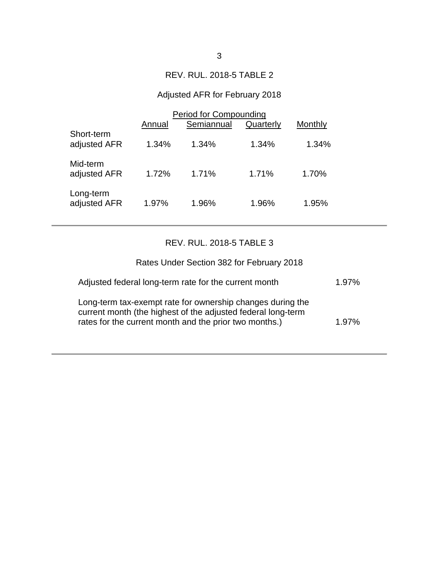### REV. RUL. 2018-5 TABLE 2

# Adjusted AFR for February 2018

|                            | <b>Period for Compounding</b> |            |           |         |  |
|----------------------------|-------------------------------|------------|-----------|---------|--|
|                            | Annual                        | Semiannual | Quarterly | Monthly |  |
| Short-term<br>adjusted AFR | 1.34%                         | $1.34\%$   | 1.34%     | 1.34%   |  |
| Mid-term<br>adjusted AFR   | 1.72%                         | 1.71%      | 1.71%     | 1.70%   |  |
| Long-term<br>adjusted AFR  | 1.97%                         | 1.96%      | 1.96%     | 1.95%   |  |

## REV. RUL. 2018-5 TABLE 3

| Rates Under Section 382 for February 2018                                                                                                                                            |          |
|--------------------------------------------------------------------------------------------------------------------------------------------------------------------------------------|----------|
| Adjusted federal long-term rate for the current month                                                                                                                                | $1.97\%$ |
| Long-term tax-exempt rate for ownership changes during the<br>current month (the highest of the adjusted federal long-term<br>rates for the current month and the prior two months.) | 1.97%    |